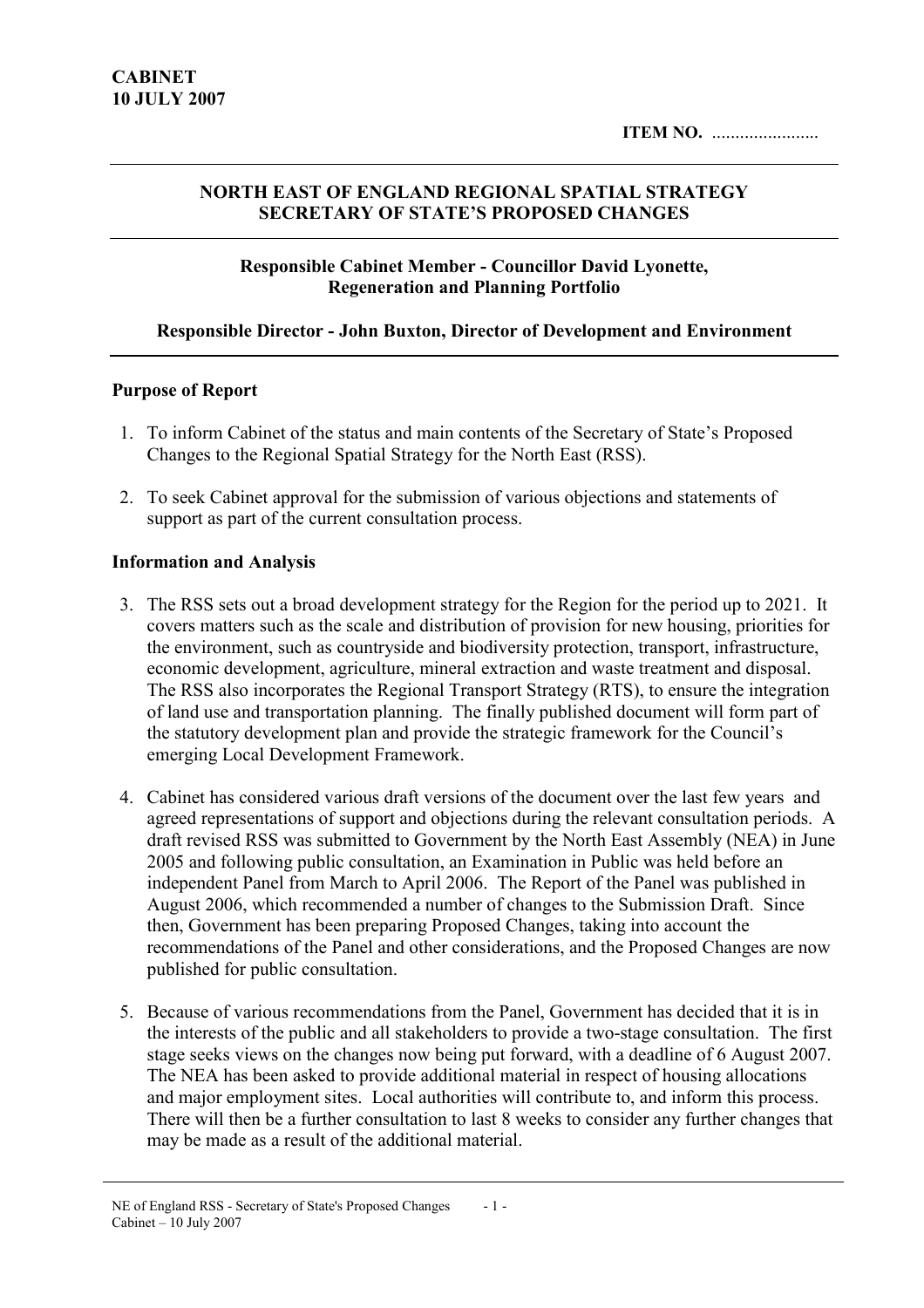## NORTH EAST OF ENGLAND REGIONAL SPATIAL STRATEGY SECRETARY OF STATE'S PROPOSED CHANGES

### Responsible Cabinet Member - Councillor David Lyonette, Regeneration and Planning Portfolio

## Responsible Director - John Buxton, Director of Development and Environment

### Purpose of Report

- 1. To inform Cabinet of the status and main contents of the Secretary of State's Proposed Changes to the Regional Spatial Strategy for the North East (RSS).
- 2. To seek Cabinet approval for the submission of various objections and statements of support as part of the current consultation process.

### Information and Analysis

- 3. The RSS sets out a broad development strategy for the Region for the period up to 2021. It covers matters such as the scale and distribution of provision for new housing, priorities for the environment, such as countryside and biodiversity protection, transport, infrastructure, economic development, agriculture, mineral extraction and waste treatment and disposal. The RSS also incorporates the Regional Transport Strategy (RTS), to ensure the integration of land use and transportation planning. The finally published document will form part of the statutory development plan and provide the strategic framework for the Council's emerging Local Development Framework.
- 4. Cabinet has considered various draft versions of the document over the last few years and agreed representations of support and objections during the relevant consultation periods. A draft revised RSS was submitted to Government by the North East Assembly (NEA) in June 2005 and following public consultation, an Examination in Public was held before an independent Panel from March to April 2006. The Report of the Panel was published in August 2006, which recommended a number of changes to the Submission Draft. Since then, Government has been preparing Proposed Changes, taking into account the recommendations of the Panel and other considerations, and the Proposed Changes are now published for public consultation.
- 5. Because of various recommendations from the Panel, Government has decided that it is in the interests of the public and all stakeholders to provide a two-stage consultation. The first stage seeks views on the changes now being put forward, with a deadline of 6 August 2007. The NEA has been asked to provide additional material in respect of housing allocations and major employment sites. Local authorities will contribute to, and inform this process. There will then be a further consultation to last 8 weeks to consider any further changes that may be made as a result of the additional material.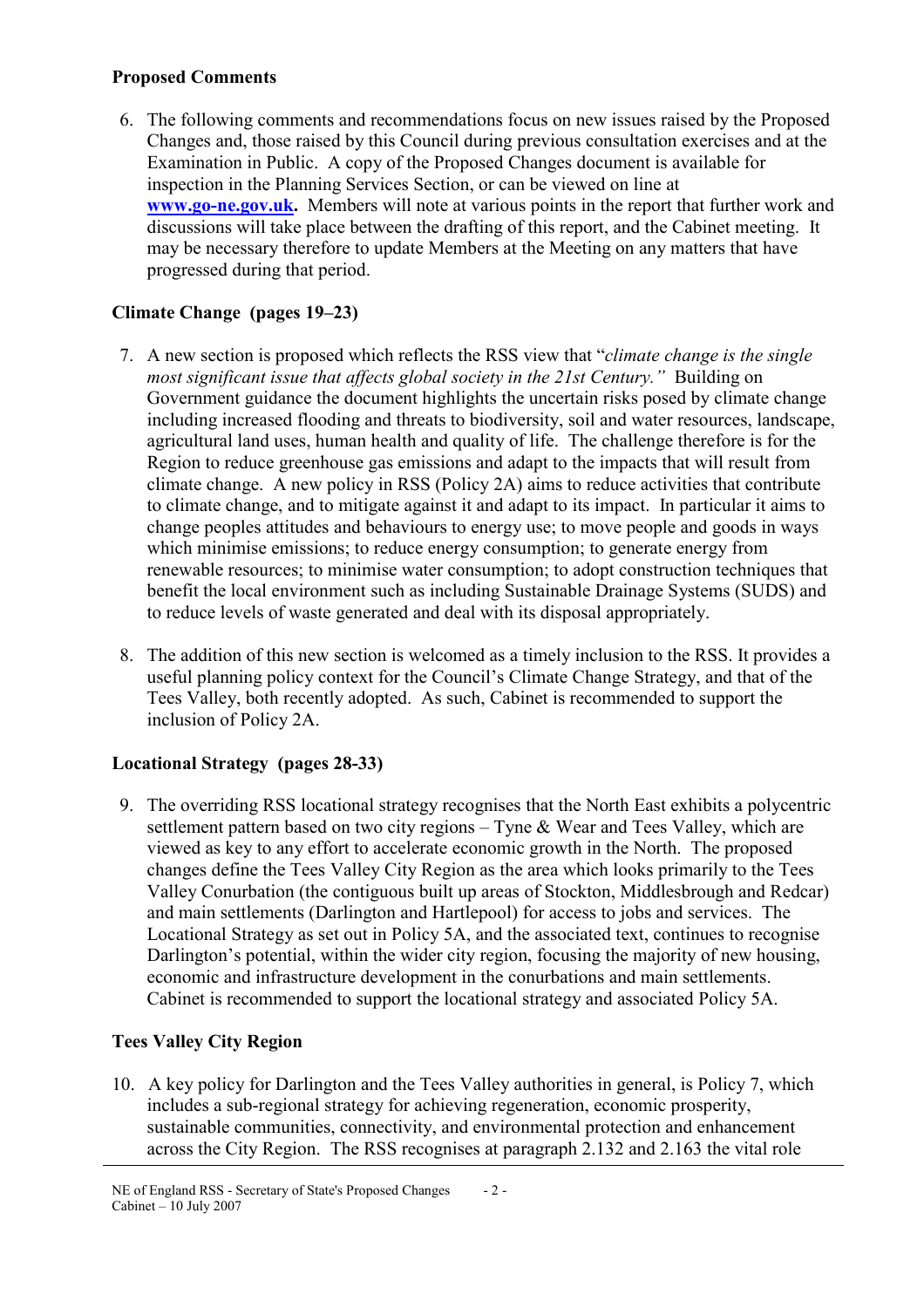### Proposed Comments

6. The following comments and recommendations focus on new issues raised by the Proposed Changes and, those raised by this Council during previous consultation exercises and at the Examination in Public. A copy of the Proposed Changes document is available for inspection in the Planning Services Section, or can be viewed on line at www.go-ne.gov.uk. Members will note at various points in the report that further work and discussions will take place between the drafting of this report, and the Cabinet meeting. It may be necessary therefore to update Members at the Meeting on any matters that have progressed during that period.

# Climate Change (pages 19–23)

- 7. A new section is proposed which reflects the RSS view that "climate change is the single most significant issue that affects global society in the 21st Century." Building on Government guidance the document highlights the uncertain risks posed by climate change including increased flooding and threats to biodiversity, soil and water resources, landscape, agricultural land uses, human health and quality of life. The challenge therefore is for the Region to reduce greenhouse gas emissions and adapt to the impacts that will result from climate change. A new policy in RSS (Policy 2A) aims to reduce activities that contribute to climate change, and to mitigate against it and adapt to its impact. In particular it aims to change peoples attitudes and behaviours to energy use; to move people and goods in ways which minimise emissions; to reduce energy consumption; to generate energy from renewable resources; to minimise water consumption; to adopt construction techniques that benefit the local environment such as including Sustainable Drainage Systems (SUDS) and to reduce levels of waste generated and deal with its disposal appropriately.
- 8. The addition of this new section is welcomed as a timely inclusion to the RSS. It provides a useful planning policy context for the Council's Climate Change Strategy, and that of the Tees Valley, both recently adopted. As such, Cabinet is recommended to support the inclusion of Policy 2A.

# Locational Strategy (pages 28-33)

9. The overriding RSS locational strategy recognises that the North East exhibits a polycentric settlement pattern based on two city regions – Tyne & Wear and Tees Valley, which are viewed as key to any effort to accelerate economic growth in the North. The proposed changes define the Tees Valley City Region as the area which looks primarily to the Tees Valley Conurbation (the contiguous built up areas of Stockton, Middlesbrough and Redcar) and main settlements (Darlington and Hartlepool) for access to jobs and services. The Locational Strategy as set out in Policy 5A, and the associated text, continues to recognise Darlington's potential, within the wider city region, focusing the majority of new housing, economic and infrastructure development in the conurbations and main settlements. Cabinet is recommended to support the locational strategy and associated Policy 5A.

### Tees Valley City Region

10. A key policy for Darlington and the Tees Valley authorities in general, is Policy 7, which includes a sub-regional strategy for achieving regeneration, economic prosperity, sustainable communities, connectivity, and environmental protection and enhancement across the City Region. The RSS recognises at paragraph 2.132 and 2.163 the vital role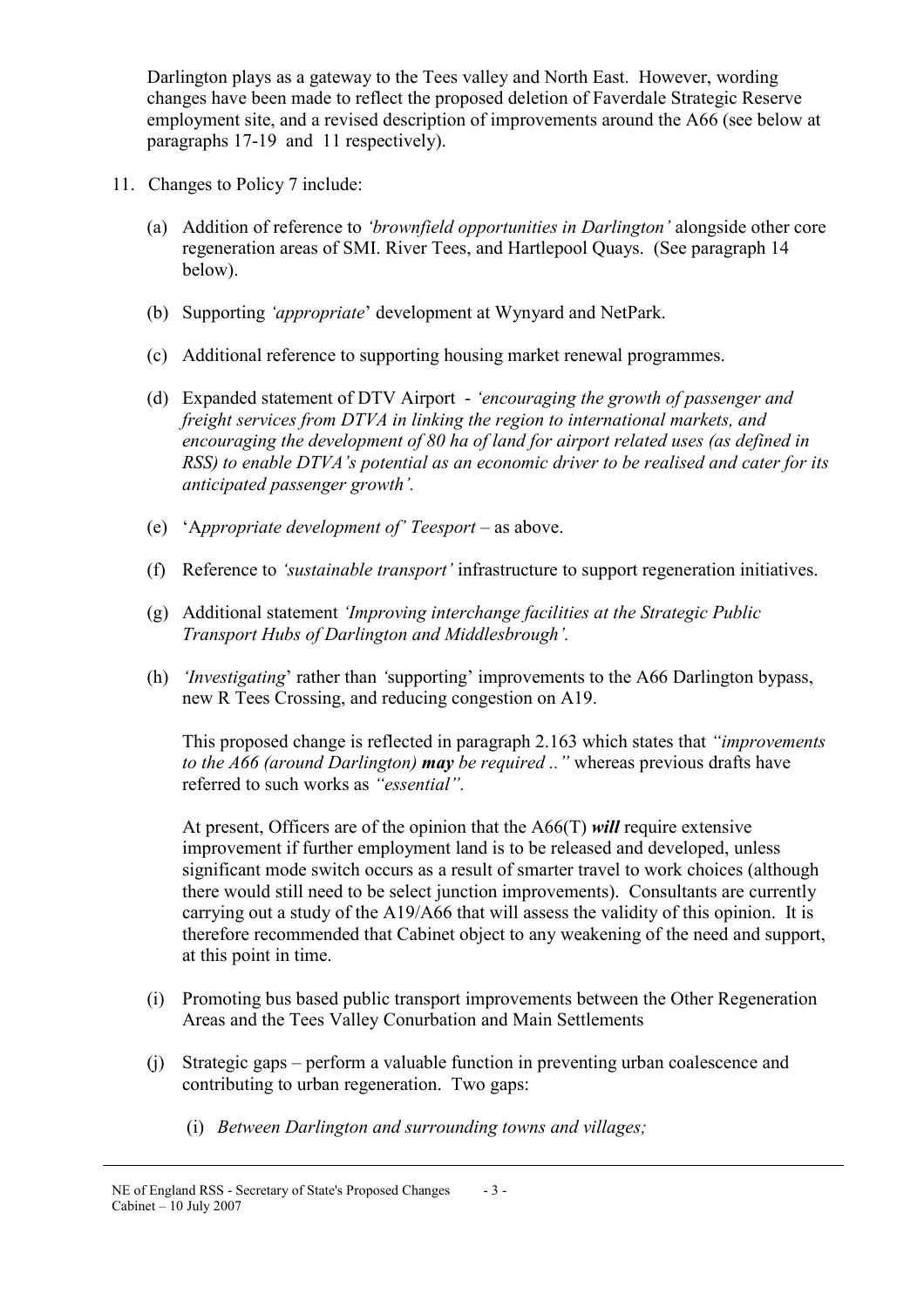Darlington plays as a gateway to the Tees valley and North East. However, wording changes have been made to reflect the proposed deletion of Faverdale Strategic Reserve employment site, and a revised description of improvements around the A66 (see below at paragraphs 17-19 and 11 respectively).

- 11. Changes to Policy 7 include:
	- (a) Addition of reference to 'brownfield opportunities in Darlington' alongside other core regeneration areas of SMI. River Tees, and Hartlepool Quays. (See paragraph 14 below).
	- (b) Supporting 'appropriate' development at Wynyard and NetPark.
	- (c) Additional reference to supporting housing market renewal programmes.
	- (d) Expanded statement of DTV Airport 'encouraging the growth of passenger and freight services from DTVA in linking the region to international markets, and encouraging the development of 80 ha of land for airport related uses (as defined in RSS) to enable DTVA's potential as an economic driver to be realised and cater for its anticipated passenger growth'.
	- (e) 'Appropriate development of' Teesport as above.
	- (f) Reference to 'sustainable transport' infrastructure to support regeneration initiatives.
	- (g) Additional statement 'Improving interchange facilities at the Strategic Public Transport Hubs of Darlington and Middlesbrough'.
	- (h) 'Investigating' rather than 'supporting' improvements to the A66 Darlington bypass, new R Tees Crossing, and reducing congestion on A19.

This proposed change is reflected in paragraph 2.163 which states that "improvements to the  $A66$  (around Darlington) **may** be required  $\ldots$  whereas previous drafts have referred to such works as "essential".

At present, Officers are of the opinion that the A66(T) will require extensive improvement if further employment land is to be released and developed, unless significant mode switch occurs as a result of smarter travel to work choices (although there would still need to be select junction improvements). Consultants are currently carrying out a study of the A19/A66 that will assess the validity of this opinion. It is therefore recommended that Cabinet object to any weakening of the need and support, at this point in time.

- (i) Promoting bus based public transport improvements between the Other Regeneration Areas and the Tees Valley Conurbation and Main Settlements
- (j) Strategic gaps perform a valuable function in preventing urban coalescence and contributing to urban regeneration. Two gaps:
	- (i) Between Darlington and surrounding towns and villages;

NE of England RSS - Secretary of State's Proposed Changes Cabinet – 10 July 2007 - 3 -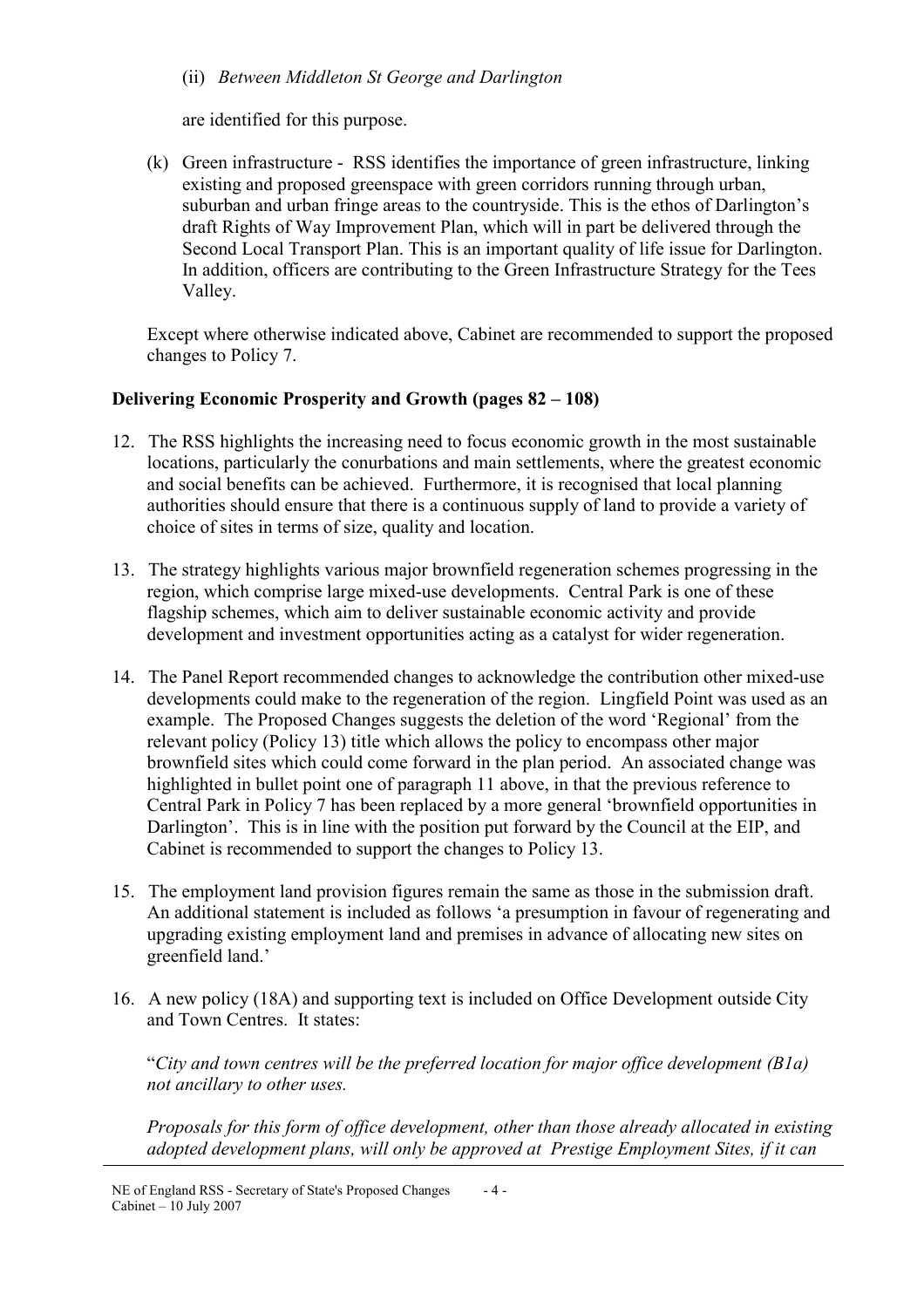(ii) Between Middleton St George and Darlington

are identified for this purpose.

(k) Green infrastructure - RSS identifies the importance of green infrastructure, linking existing and proposed greenspace with green corridors running through urban, suburban and urban fringe areas to the countryside. This is the ethos of Darlington's draft Rights of Way Improvement Plan, which will in part be delivered through the Second Local Transport Plan. This is an important quality of life issue for Darlington. In addition, officers are contributing to the Green Infrastructure Strategy for the Tees Valley.

Except where otherwise indicated above, Cabinet are recommended to support the proposed changes to Policy 7.

## Delivering Economic Prosperity and Growth (pages 82 – 108)

- 12. The RSS highlights the increasing need to focus economic growth in the most sustainable locations, particularly the conurbations and main settlements, where the greatest economic and social benefits can be achieved. Furthermore, it is recognised that local planning authorities should ensure that there is a continuous supply of land to provide a variety of choice of sites in terms of size, quality and location.
- 13. The strategy highlights various major brownfield regeneration schemes progressing in the region, which comprise large mixed-use developments. Central Park is one of these flagship schemes, which aim to deliver sustainable economic activity and provide development and investment opportunities acting as a catalyst for wider regeneration.
- 14. The Panel Report recommended changes to acknowledge the contribution other mixed-use developments could make to the regeneration of the region. Lingfield Point was used as an example. The Proposed Changes suggests the deletion of the word 'Regional' from the relevant policy (Policy 13) title which allows the policy to encompass other major brownfield sites which could come forward in the plan period. An associated change was highlighted in bullet point one of paragraph 11 above, in that the previous reference to Central Park in Policy 7 has been replaced by a more general 'brownfield opportunities in Darlington'. This is in line with the position put forward by the Council at the EIP, and Cabinet is recommended to support the changes to Policy 13.
- 15. The employment land provision figures remain the same as those in the submission draft. An additional statement is included as follows 'a presumption in favour of regenerating and upgrading existing employment land and premises in advance of allocating new sites on greenfield land.'
- 16. A new policy (18A) and supporting text is included on Office Development outside City and Town Centres. It states:

"City and town centres will be the preferred location for major office development  $(B1a)$ not ancillary to other uses.

Proposals for this form of office development, other than those already allocated in existing adopted development plans, will only be approved at Prestige Employment Sites, if it can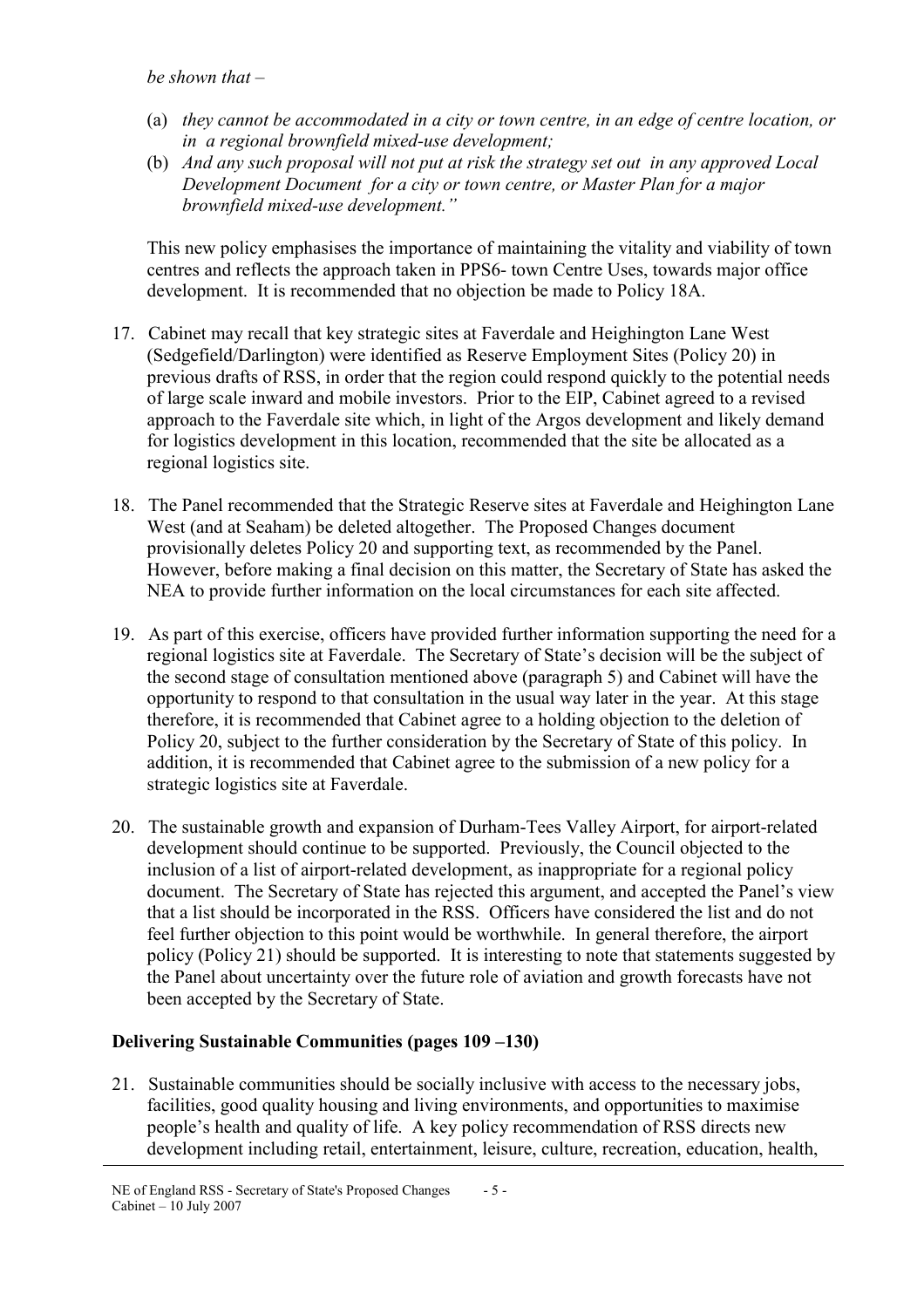- (a) they cannot be accommodated in a city or town centre, in an edge of centre location, or in a regional brownfield mixed-use development;
- (b) And any such proposal will not put at risk the strategy set out in any approved Local Development Document for a city or town centre, or Master Plan for a major brownfield mixed-use development."

This new policy emphasises the importance of maintaining the vitality and viability of town centres and reflects the approach taken in PPS6- town Centre Uses, towards major office development. It is recommended that no objection be made to Policy 18A.

- 17. Cabinet may recall that key strategic sites at Faverdale and Heighington Lane West (Sedgefield/Darlington) were identified as Reserve Employment Sites (Policy 20) in previous drafts of RSS, in order that the region could respond quickly to the potential needs of large scale inward and mobile investors. Prior to the EIP, Cabinet agreed to a revised approach to the Faverdale site which, in light of the Argos development and likely demand for logistics development in this location, recommended that the site be allocated as a regional logistics site.
- 18. The Panel recommended that the Strategic Reserve sites at Faverdale and Heighington Lane West (and at Seaham) be deleted altogether. The Proposed Changes document provisionally deletes Policy 20 and supporting text, as recommended by the Panel. However, before making a final decision on this matter, the Secretary of State has asked the NEA to provide further information on the local circumstances for each site affected.
- 19. As part of this exercise, officers have provided further information supporting the need for a regional logistics site at Faverdale. The Secretary of State's decision will be the subject of the second stage of consultation mentioned above (paragraph 5) and Cabinet will have the opportunity to respond to that consultation in the usual way later in the year. At this stage therefore, it is recommended that Cabinet agree to a holding objection to the deletion of Policy 20, subject to the further consideration by the Secretary of State of this policy. In addition, it is recommended that Cabinet agree to the submission of a new policy for a strategic logistics site at Faverdale.
- 20. The sustainable growth and expansion of Durham-Tees Valley Airport, for airport-related development should continue to be supported. Previously, the Council objected to the inclusion of a list of airport-related development, as inappropriate for a regional policy document. The Secretary of State has rejected this argument, and accepted the Panel's view that a list should be incorporated in the RSS. Officers have considered the list and do not feel further objection to this point would be worthwhile. In general therefore, the airport policy (Policy 21) should be supported. It is interesting to note that statements suggested by the Panel about uncertainty over the future role of aviation and growth forecasts have not been accepted by the Secretary of State.

### Delivering Sustainable Communities (pages 109 –130)

21. Sustainable communities should be socially inclusive with access to the necessary jobs, facilities, good quality housing and living environments, and opportunities to maximise people's health and quality of life. A key policy recommendation of RSS directs new development including retail, entertainment, leisure, culture, recreation, education, health,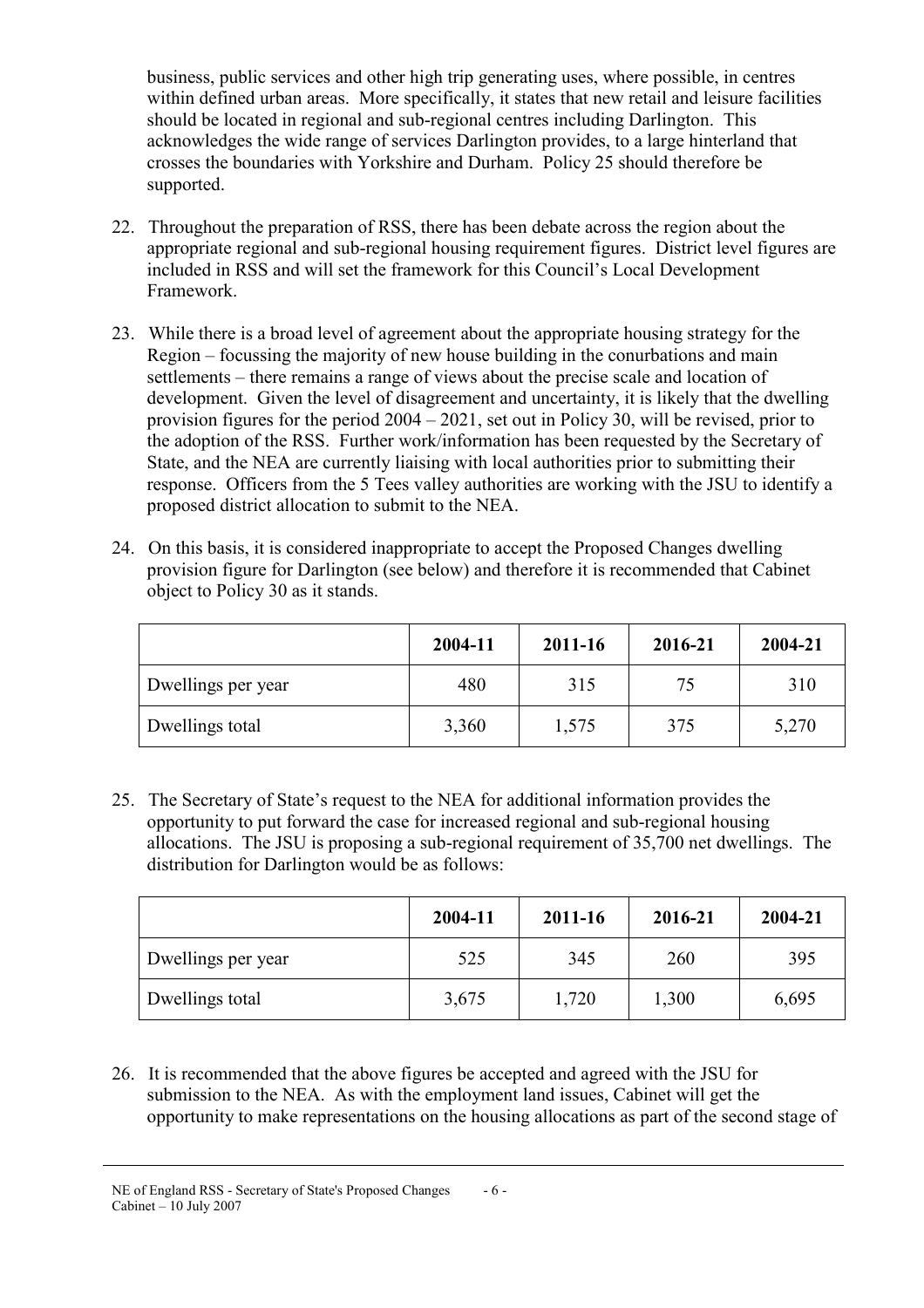business, public services and other high trip generating uses, where possible, in centres within defined urban areas. More specifically, it states that new retail and leisure facilities should be located in regional and sub-regional centres including Darlington. This acknowledges the wide range of services Darlington provides, to a large hinterland that crosses the boundaries with Yorkshire and Durham. Policy 25 should therefore be supported.

- 22. Throughout the preparation of RSS, there has been debate across the region about the appropriate regional and sub-regional housing requirement figures. District level figures are included in RSS and will set the framework for this Council's Local Development Framework.
- 23. While there is a broad level of agreement about the appropriate housing strategy for the Region – focussing the majority of new house building in the conurbations and main settlements – there remains a range of views about the precise scale and location of development. Given the level of disagreement and uncertainty, it is likely that the dwelling provision figures for the period 2004 – 2021, set out in Policy 30, will be revised, prior to the adoption of the RSS. Further work/information has been requested by the Secretary of State, and the NEA are currently liaising with local authorities prior to submitting their response. Officers from the 5 Tees valley authorities are working with the JSU to identify a proposed district allocation to submit to the NEA.
- 24. On this basis, it is considered inappropriate to accept the Proposed Changes dwelling provision figure for Darlington (see below) and therefore it is recommended that Cabinet object to Policy 30 as it stands.

|                    | 2004-11 | 2011-16 | 2016-21 | 2004-21 |
|--------------------|---------|---------|---------|---------|
| Dwellings per year | 480     | 315     | 75      | 310     |
| Dwellings total    | 3,360   | 1,575   | 375     | 5,270   |

25. The Secretary of State's request to the NEA for additional information provides the opportunity to put forward the case for increased regional and sub-regional housing allocations. The JSU is proposing a sub-regional requirement of 35,700 net dwellings. The distribution for Darlington would be as follows:

|                    | 2004-11 | 2011-16 | 2016-21 | 2004-21 |
|--------------------|---------|---------|---------|---------|
| Dwellings per year | 525     | 345     | 260     | 395     |
| Dwellings total    | 3,675   | 1,720   | 1,300   | 6,695   |

26. It is recommended that the above figures be accepted and agreed with the JSU for submission to the NEA. As with the employment land issues, Cabinet will get the opportunity to make representations on the housing allocations as part of the second stage of

NE of England RSS - Secretary of State's Proposed Changes Cabinet – 10 July 2007 - 6 -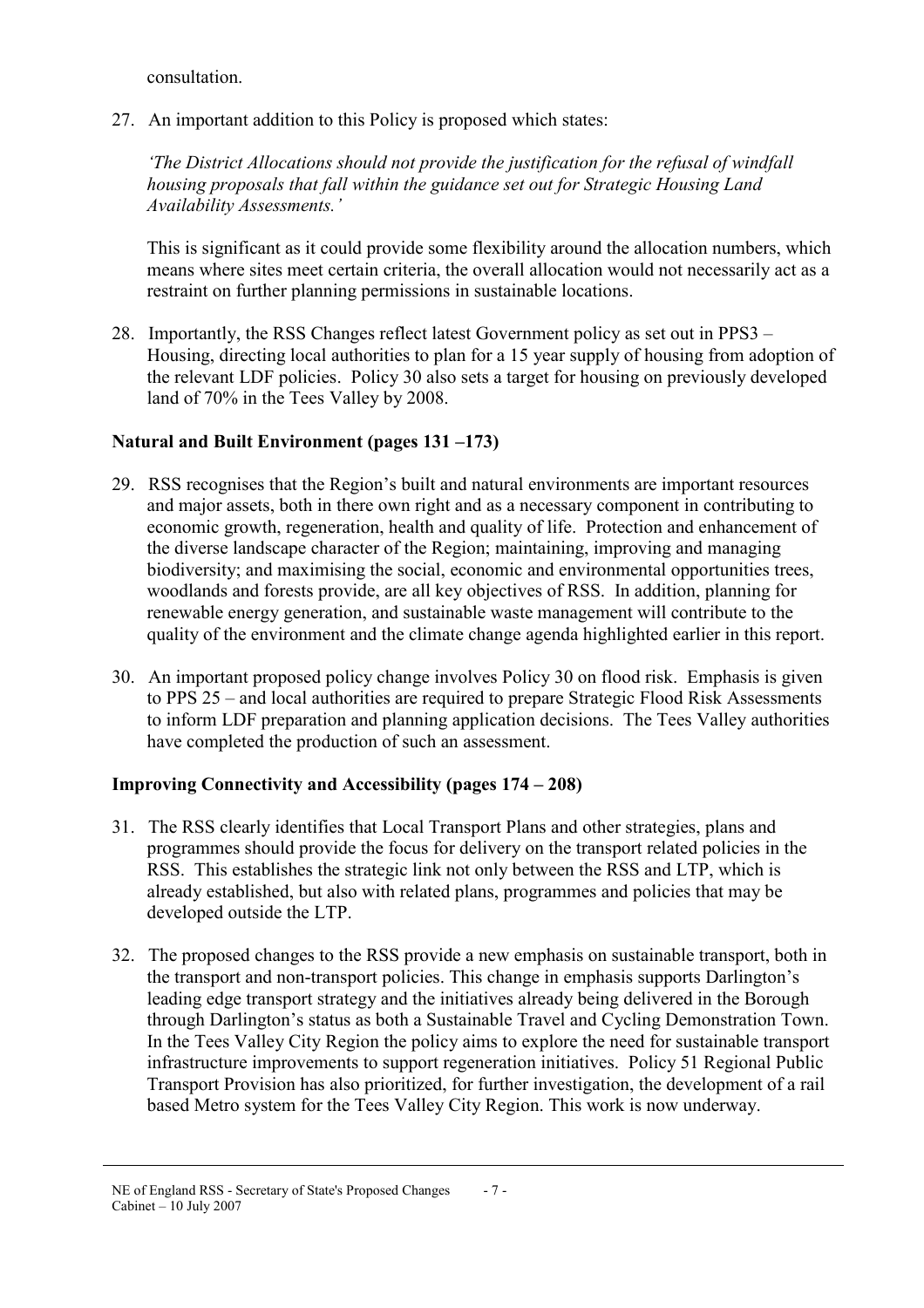consultation.

27. An important addition to this Policy is proposed which states:

'The District Allocations should not provide the justification for the refusal of windfall housing proposals that fall within the guidance set out for Strategic Housing Land Availability Assessments.'

This is significant as it could provide some flexibility around the allocation numbers, which means where sites meet certain criteria, the overall allocation would not necessarily act as a restraint on further planning permissions in sustainable locations.

28. Importantly, the RSS Changes reflect latest Government policy as set out in PPS3 – Housing, directing local authorities to plan for a 15 year supply of housing from adoption of the relevant LDF policies. Policy 30 also sets a target for housing on previously developed land of 70% in the Tees Valley by 2008.

## Natural and Built Environment (pages 131 –173)

- 29. RSS recognises that the Region's built and natural environments are important resources and major assets, both in there own right and as a necessary component in contributing to economic growth, regeneration, health and quality of life. Protection and enhancement of the diverse landscape character of the Region; maintaining, improving and managing biodiversity; and maximising the social, economic and environmental opportunities trees, woodlands and forests provide, are all key objectives of RSS. In addition, planning for renewable energy generation, and sustainable waste management will contribute to the quality of the environment and the climate change agenda highlighted earlier in this report.
- 30. An important proposed policy change involves Policy 30 on flood risk. Emphasis is given to PPS 25 – and local authorities are required to prepare Strategic Flood Risk Assessments to inform LDF preparation and planning application decisions. The Tees Valley authorities have completed the production of such an assessment.

# Improving Connectivity and Accessibility (pages 174 – 208)

- 31. The RSS clearly identifies that Local Transport Plans and other strategies, plans and programmes should provide the focus for delivery on the transport related policies in the RSS. This establishes the strategic link not only between the RSS and LTP, which is already established, but also with related plans, programmes and policies that may be developed outside the LTP.
- 32. The proposed changes to the RSS provide a new emphasis on sustainable transport, both in the transport and non-transport policies. This change in emphasis supports Darlington's leading edge transport strategy and the initiatives already being delivered in the Borough through Darlington's status as both a Sustainable Travel and Cycling Demonstration Town. In the Tees Valley City Region the policy aims to explore the need for sustainable transport infrastructure improvements to support regeneration initiatives. Policy 51 Regional Public Transport Provision has also prioritized, for further investigation, the development of a rail based Metro system for the Tees Valley City Region. This work is now underway.

NE of England RSS - Secretary of State's Proposed Changes Cabinet – 10 July 2007 - 7 -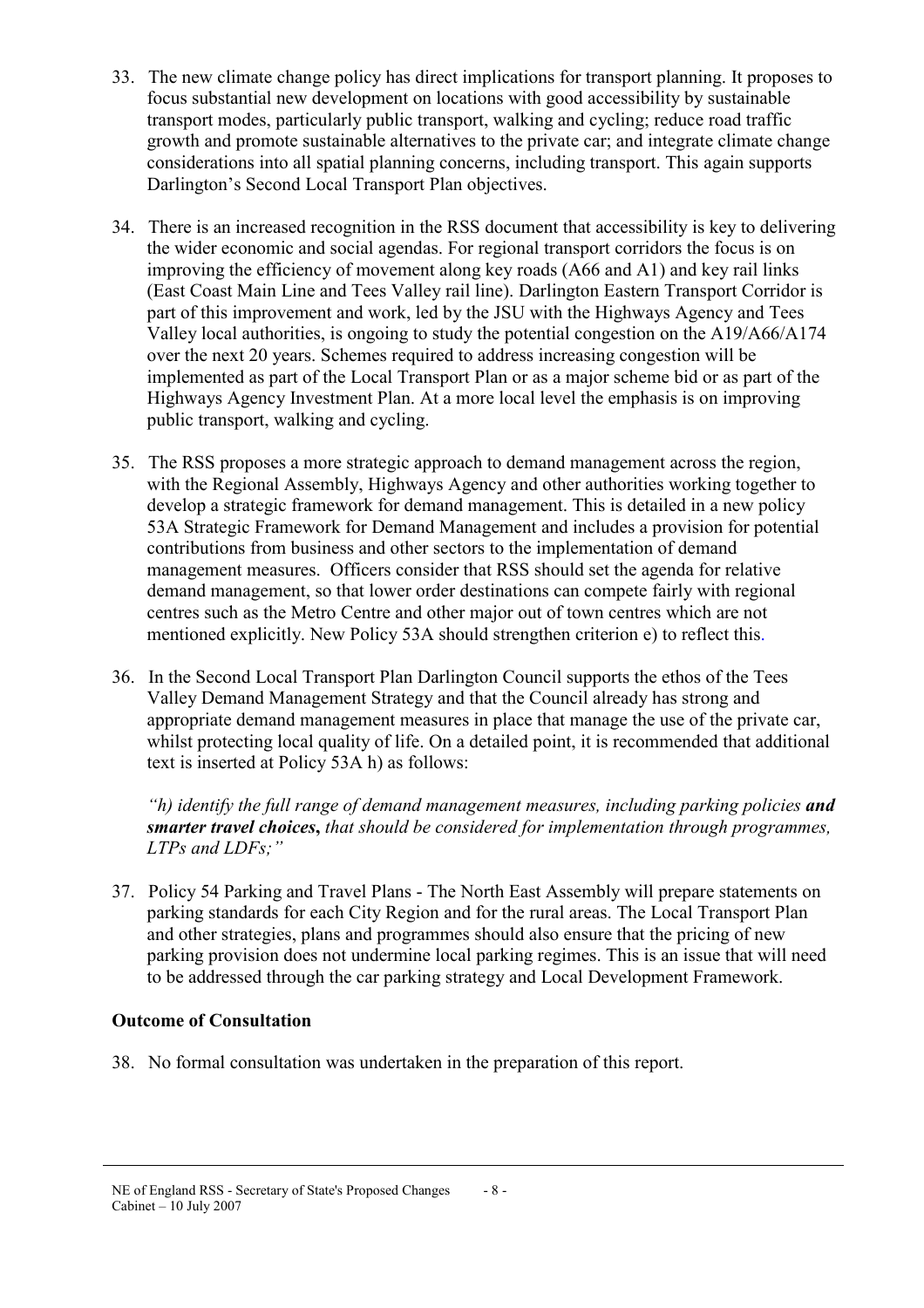- 33. The new climate change policy has direct implications for transport planning. It proposes to focus substantial new development on locations with good accessibility by sustainable transport modes, particularly public transport, walking and cycling; reduce road traffic growth and promote sustainable alternatives to the private car; and integrate climate change considerations into all spatial planning concerns, including transport. This again supports Darlington's Second Local Transport Plan objectives.
- 34. There is an increased recognition in the RSS document that accessibility is key to delivering the wider economic and social agendas. For regional transport corridors the focus is on improving the efficiency of movement along key roads (A66 and A1) and key rail links (East Coast Main Line and Tees Valley rail line). Darlington Eastern Transport Corridor is part of this improvement and work, led by the JSU with the Highways Agency and Tees Valley local authorities, is ongoing to study the potential congestion on the A19/A66/A174 over the next 20 years. Schemes required to address increasing congestion will be implemented as part of the Local Transport Plan or as a major scheme bid or as part of the Highways Agency Investment Plan. At a more local level the emphasis is on improving public transport, walking and cycling.
- 35. The RSS proposes a more strategic approach to demand management across the region, with the Regional Assembly, Highways Agency and other authorities working together to develop a strategic framework for demand management. This is detailed in a new policy 53A Strategic Framework for Demand Management and includes a provision for potential contributions from business and other sectors to the implementation of demand management measures. Officers consider that RSS should set the agenda for relative demand management, so that lower order destinations can compete fairly with regional centres such as the Metro Centre and other major out of town centres which are not mentioned explicitly. New Policy 53A should strengthen criterion e) to reflect this.
- 36. In the Second Local Transport Plan Darlington Council supports the ethos of the Tees Valley Demand Management Strategy and that the Council already has strong and appropriate demand management measures in place that manage the use of the private car, whilst protecting local quality of life. On a detailed point, it is recommended that additional text is inserted at Policy 53A h) as follows:

 $(h)$  identify the full range of demand management measures, including parking policies **and** smarter travel choices, that should be considered for implementation through programmes, LTPs and LDFs;"

37. Policy 54 Parking and Travel Plans - The North East Assembly will prepare statements on parking standards for each City Region and for the rural areas. The Local Transport Plan and other strategies, plans and programmes should also ensure that the pricing of new parking provision does not undermine local parking regimes. This is an issue that will need to be addressed through the car parking strategy and Local Development Framework.

# Outcome of Consultation

38. No formal consultation was undertaken in the preparation of this report.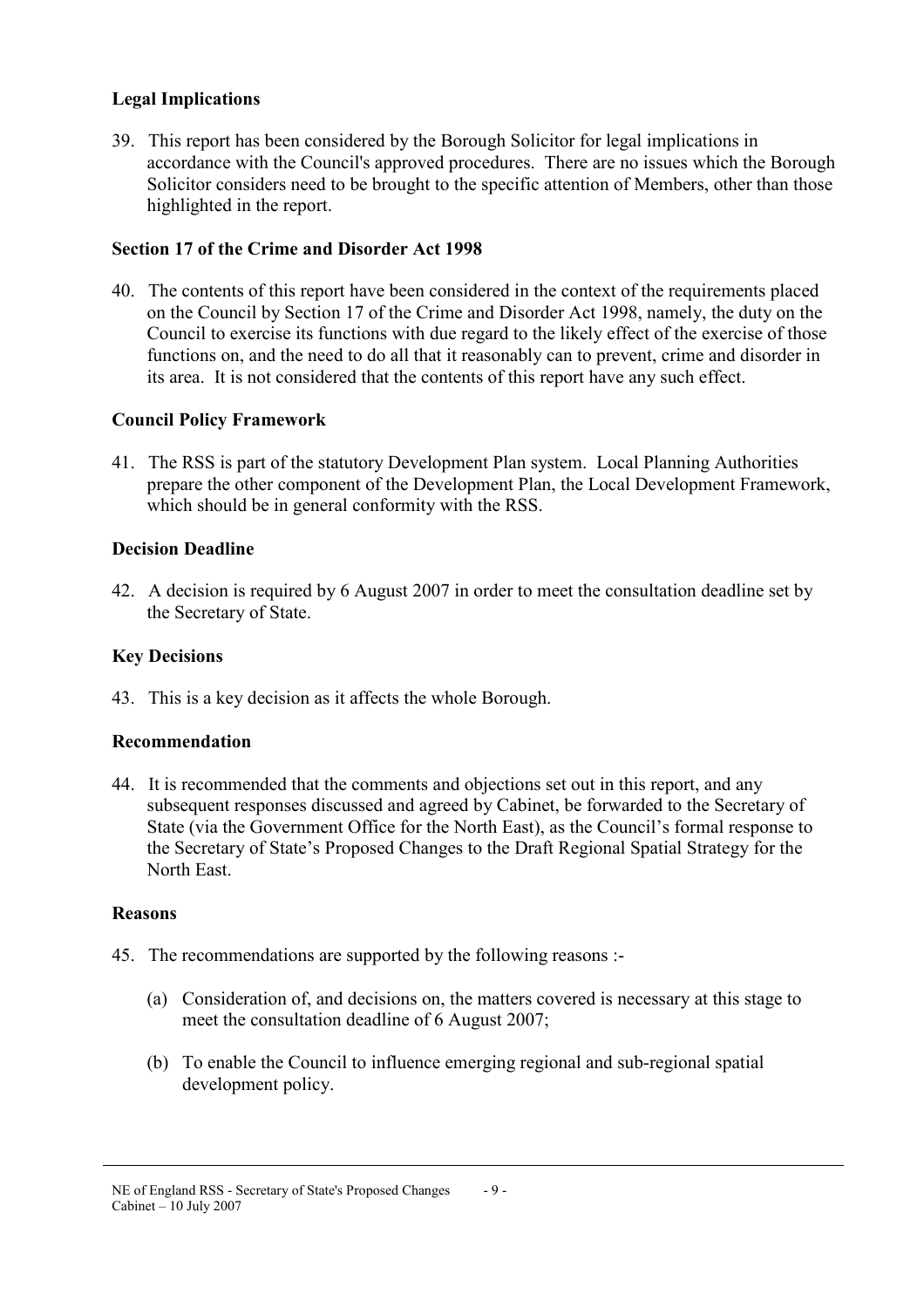## Legal Implications

39. This report has been considered by the Borough Solicitor for legal implications in accordance with the Council's approved procedures. There are no issues which the Borough Solicitor considers need to be brought to the specific attention of Members, other than those highlighted in the report.

# Section 17 of the Crime and Disorder Act 1998

40. The contents of this report have been considered in the context of the requirements placed on the Council by Section 17 of the Crime and Disorder Act 1998, namely, the duty on the Council to exercise its functions with due regard to the likely effect of the exercise of those functions on, and the need to do all that it reasonably can to prevent, crime and disorder in its area. It is not considered that the contents of this report have any such effect.

### Council Policy Framework

41. The RSS is part of the statutory Development Plan system. Local Planning Authorities prepare the other component of the Development Plan, the Local Development Framework, which should be in general conformity with the RSS.

## Decision Deadline

42. A decision is required by 6 August 2007 in order to meet the consultation deadline set by the Secretary of State.

## Key Decisions

43. This is a key decision as it affects the whole Borough.

### Recommendation

44. It is recommended that the comments and objections set out in this report, and any subsequent responses discussed and agreed by Cabinet, be forwarded to the Secretary of State (via the Government Office for the North East), as the Council's formal response to the Secretary of State's Proposed Changes to the Draft Regional Spatial Strategy for the North East.

### Reasons

- 45. The recommendations are supported by the following reasons :-
	- (a) Consideration of, and decisions on, the matters covered is necessary at this stage to meet the consultation deadline of 6 August 2007;
	- (b) To enable the Council to influence emerging regional and sub-regional spatial development policy.